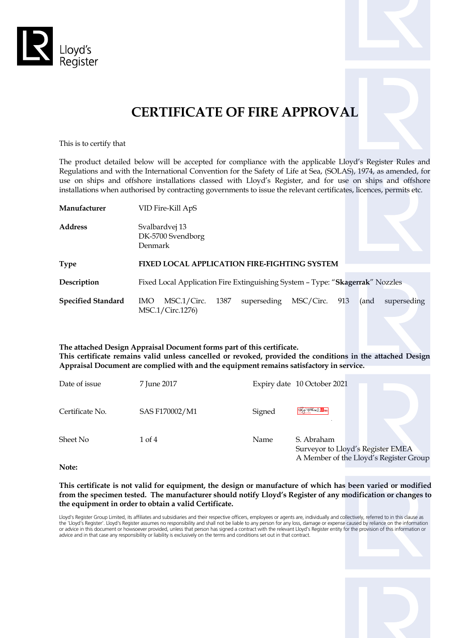



This is to certify that

The product detailed below will be accepted for compliance with the applicable Lloyd's Register Rules and Regulations and with the International Convention for the Safety of Life at Sea, (SOLAS), 1974, as amended, for use on ships and offshore installations classed with Lloyd's Register, and for use on ships and offshore installations when authorised by contracting governments to issue the relevant certificates, licences, permits etc.

| Manufacturer              | VID Fire-Kill ApS                                                                                     |  |  |  |  |
|---------------------------|-------------------------------------------------------------------------------------------------------|--|--|--|--|
| Address                   | Svalbardvej 13<br>DK-5700 Svendborg<br>Denmark                                                        |  |  |  |  |
| Type                      | <b>FIXED LOCAL APPLICATION FIRE-FIGHTING SYSTEM</b>                                                   |  |  |  |  |
| Description               | Fixed Local Application Fire Extinguishing System - Type: "Skagerrak" Nozzles                         |  |  |  |  |
| <b>Specified Standard</b> | superseding<br>MSC/Circ. 913<br>MSC.1/Circ.<br>1387<br>(and<br>superseding<br>IMO<br>MSC.1/Circ.1276) |  |  |  |  |

#### **The attached Design Appraisal Document forms part of this certificate. This certificate remains valid unless cancelled or revoked, provided the conditions in the attached Design Appraisal Document are complied with and the equipment remains satisfactory in service.**

| Date of issue   | 7 June 2017    |        | Expiry date 10 October 2021                                                               |
|-----------------|----------------|--------|-------------------------------------------------------------------------------------------|
| Certificate No. | SAS F170002/M1 | Signed | <b>SARALLE</b>                                                                            |
| Sheet No        | 1 of 4         | Name   | S. Abraham<br>Surveyor to Lloyd's Register EMEA<br>A Member of the Lloyd's Register Group |

**Note:**

**This certificate is not valid for equipment, the design or manufacture of which has been varied or modified from the specimen tested. The manufacturer should notify Lloyd's Register of any modification or changes to the equipment in order to obtain a valid Certificate.**

Lloyd's Register Group Limited, its affiliates and subsidiaries and their respective officers, employees or agents are, individually and collectively, referred to in this clause as the 'Lloyd's Register'. Lloyd's Register assumes no responsibility and shall not be liable to any person for any loss, damage or expense caused by reliance on the information or advice in this document or howsoever provided, unless that person has signed a contract with the relevant Lloyd's Register entity for the provision of this information or advice and in that case any responsibility or liability is exclusively on the terms and conditions set out in that contract.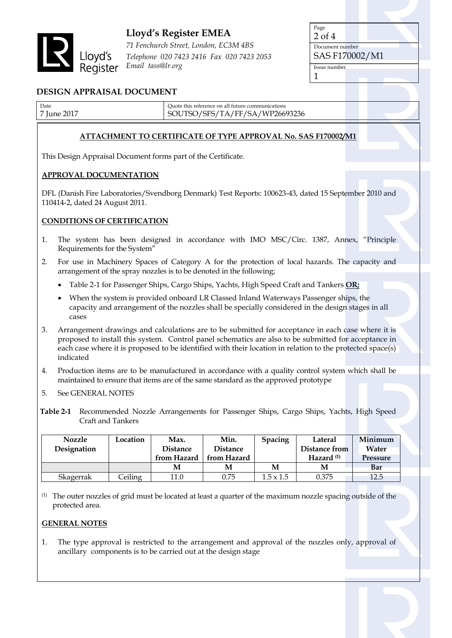

# **Lloyd's Register EMEA**

*71 Fenchurch Street, London, EC3M 4BS Telephone 020 7423 2416 Fax 020 7423 2053 Email tass@lr.org*

Page 2 of 4 Document number SAS F170002/M1 Issue number 1

## **DESIGN APPRAISAL DOCUMENT**

| Date        | Ouote this reference on all future communications |  |
|-------------|---------------------------------------------------|--|
| 7 June 2017 | SOUTSO/SFS/TA/FF/SA/WP26693236                    |  |

### **ATTACHMENT TO CERTIFICATE OF TYPE APPROVAL No. SAS F170002/M1**

This Design Appraisal Document forms part of the Certificate.

### **APPROVAL DOCUMENTATION**

DFL (Danish Fire Laboratories/Svendborg Denmark) Test Reports: 100623-43, dated 15 September 2010 and 110414-2, dated 24 August 2011.

## **CONDITIONS OF CERTIFICATION**

- 1. The system has been designed in accordance with IMO MSC/Circ. 1387, Annex, "Principle Requirements for the System"
- 2. For use in Machinery Spaces of Category A for the protection of local hazards. The capacity and arrangement of the spray nozzles is to be denoted in the following;
	- Table 2-1 for Passenger Ships, Cargo Ships, Yachts, High Speed Craft and Tankers **OR;**
	- When the system is provided onboard LR Classed Inland Waterways Passenger ships, the capacity and arrangement of the nozzles shall be specially considered in the design stages in all cases
- 3. Arrangement drawings and calculations are to be submitted for acceptance in each case where it is proposed to install this system. Control panel schematics are also to be submitted for acceptance in each case where it is proposed to be identified with their location in relation to the protected space(s) indicated
- 4. Production items are to be manufactured in accordance with a quality control system which shall be maintained to ensure that items are of the same standard as the approved prototype
- 5. See GENERAL NOTES
- **Table 2-1** Recommended Nozzle Arrangements for Passenger Ships, Cargo Ships, Yachts, High Speed Craft and Tankers

| <b>Nozzle</b> | Location | Max.            | Min.            | Spacing          | Lateral            | Minimum         |
|---------------|----------|-----------------|-----------------|------------------|--------------------|-----------------|
| Designation   |          | <b>Distance</b> | <b>Distance</b> |                  | Distance from      | Water           |
|               |          | from Hazard     | from Hazard     |                  | $\mu$ Hazard $(1)$ | <b>Pressure</b> |
|               |          | M               | M               | M                | M                  | Bar             |
| Skagerrak     | Ceiling  | 11.0            | 0.75            | $1.5 \times 1.5$ | 0.375              | 12.5            |

(1) The outer nozzles of grid must be located at least a quarter of the maximum nozzle spacing outside of the protected area.

### **GENERAL NOTES**

1. The type approval is restricted to the arrangement and approval of the nozzles only, approval of ancillary components is to be carried out at the design stage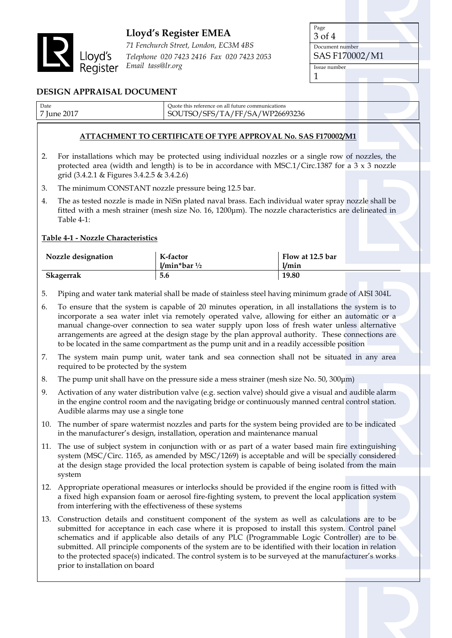

# **Lloyd's Register EMEA**

*71 Fenchurch Street, London, EC3M 4BS Telephone 020 7423 2416 Fax 020 7423 2053 Email tass@lr.org*

| Page            |  |  |
|-----------------|--|--|
| 3 of 4          |  |  |
| Document number |  |  |
| SAS F170002/M1  |  |  |
| Issue number    |  |  |
|                 |  |  |

# **DESIGN APPRAISAL DOCUMENT**

| Date        | Ouote this reference on all future communications |  |
|-------------|---------------------------------------------------|--|
| 7 June 2017 | SOUTSO/SFS/TA/FF/SA/WP26693236                    |  |

### **ATTACHMENT TO CERTIFICATE OF TYPE APPROVAL No. SAS F170002/M1**

- 2. For installations which may be protected using individual nozzles or a single row of nozzles, the protected area (width and length) is to be in accordance with MSC.1/Circ.1387 for a  $3 \times 3$  nozzle grid (3.4.2.1 & Figures 3.4.2.5 & 3.4.2.6)
- 3. The minimum CONSTANT nozzle pressure being 12.5 bar.
- 4. The as tested nozzle is made in NiSn plated naval brass. Each individual water spray nozzle shall be fitted with a mesh strainer (mesh size No. 16, 1200μm). The nozzle characteristics are delineated in Table 4-1:

## **Table 4-1 - Nozzle Characteristics**

| Nozzle designation | K-factor         | $\mid$ Flow at 12.5 bar |
|--------------------|------------------|-------------------------|
|                    | $1/min^*bar^1/2$ | 1/min                   |
| <b>Skagerrak</b>   | 5.6              | 19.80                   |

- 5. Piping and water tank material shall be made of stainless steel having minimum grade of AISI 304L
- 6. To ensure that the system is capable of 20 minutes operation, in all installations the system is to incorporate a sea water inlet via remotely operated valve, allowing for either an automatic or a manual change-over connection to sea water supply upon loss of fresh water unless alternative arrangements are agreed at the design stage by the plan approval authority. These connections are to be located in the same compartment as the pump unit and in a readily accessible position
- 7. The system main pump unit, water tank and sea connection shall not be situated in any area required to be protected by the system
- 8. The pump unit shall have on the pressure side a mess strainer (mesh size No. 50, 300μm)
- 9. Activation of any water distribution valve (e.g. section valve) should give a visual and audible alarm in the engine control room and the navigating bridge or continuously manned central control station. Audible alarms may use a single tone
- 10. The number of spare watermist nozzles and parts for the system being provided are to be indicated in the manufacturer's design, installation, operation and maintenance manual
- 11. The use of subject system in conjunction with or as part of a water based main fire extinguishing system (MSC/Circ. 1165, as amended by MSC/1269) is acceptable and will be specially considered at the design stage provided the local protection system is capable of being isolated from the main system
- 12. Appropriate operational measures or interlocks should be provided if the engine room is fitted with a fixed high expansion foam or aerosol fire-fighting system, to prevent the local application system from interfering with the effectiveness of these systems
- 13. Construction details and constituent component of the system as well as calculations are to be submitted for acceptance in each case where it is proposed to install this system. Control panel schematics and if applicable also details of any PLC (Programmable Logic Controller) are to be submitted. All principle components of the system are to be identified with their location in relation to the protected space(s) indicated. The control system is to be surveyed at the manufacturer's works prior to installation on board